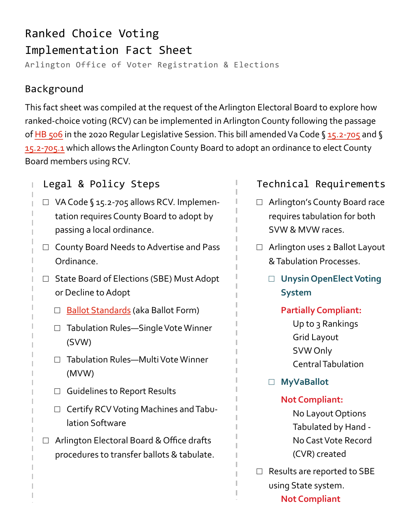# Ranked Choice Voting Implementation Fact Sheet Arlington Office of Voter Registration & Elections

# Background

This fact sheet was compiled at the request of the Arlington Electoral Board to explore how ranked-choice voting (RCV) can be implemented in Arlington County following the passage of [HB 506](https://lis.virginia.gov/cgi-bin/legp604.exe?201+ful+CHAP0713&201+ful+CHAP0713) in the 2020 Regular Legislative Session. This bill amended Va Code § [15.2](https://law.lis.virginia.gov/vacode/title15.2/chapter7/section15.2-705/)-705 and § 15.2-[705.1](https://law.lis.virginia.gov/vacode/title15.2/chapter7/section15.2-705.1/) which allows the Arlington County Board to adopt an ordinance to elect County Board members using RCV.

# Legal & Policy Steps

- □ VA Code § 15.2-705 allows RCV. Implementation requires County Board to adopt by passing a local ordinance.
- □ County Board Needs to Advertise and Pass Ordinance.
- □ State Board of Elections (SBE) Must Adopt or Decline to Adopt
	- □ [Ballot Standards](https://www.elections.virginia.gov/media/formswarehouse/election-management/ballots/2019-07-25-SBE-Ballot-Standards-and-Verification-Procedures.pdf) (aka Ballot Form)
	- □ Tabulation Rules—Single Vote Winner (SVW)
	- □ Tabulation Rules-Multi Vote Winner (MVW)
	- □ Guidelines to Report Results
	- □ Certify RCV Voting Machines and Tabulation Software
- □ Arlington Electoral Board & Office drafts procedures to transfer ballots & tabulate.

# Technical Requirements

- □ Arlington's County Board race requires tabulation for both SVW & MVW races.
- $\Box$  Arlington uses 2 Ballot Layout & Tabulation Processes.
	- □ **Unysin OpenElect Voting System**
		- **Partially Compliant:**

Up to 3 Rankings Grid Layout SVW Only Central Tabulation

□ **MyVaBallot**

#### **Not Compliant:**

- No Layout Options Tabulated by Hand - No Cast Vote Record (CVR) created
- □ Results are reported to SBE using State system. **Not Compliant**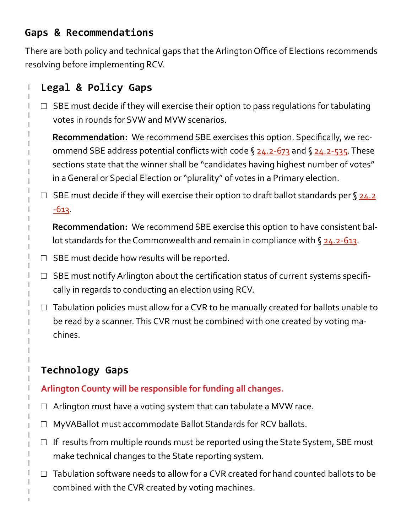# **Gaps & Recommendations**

There are both policy and technical gaps that the Arlington Office of Elections recommends resolving before implementing RCV.

### **Legal & Policy Gaps**

 $\square$  SBE must decide if they will exercise their option to pass regulations for tabulating votes in rounds for SVW and MVW scenarios.

**Recommendation:** We recommend SBE exercises this option. Specifically, we recommend SBE address potential conflicts with code  $\S$  [24.2](https://law.lis.virginia.gov/vacode/title24.2/chapter5/section24.2-535/)-673 and  $\S$  24.2-535. These sections state that the winner shall be "candidates having highest number of votes" in a General or Special Election or "plurality" of votes in a Primary election.

□ SBE must decide if they will exercise their option to draft ballot standards per §  $\frac{24.2}{ }$  $\frac{24.2}{ }$  $\frac{24.2}{ }$  $-613.$  $-613.$ 

**Recommendation:** We recommend SBE exercise this option to have consistent ballot standards for the Commonwealth and remain in compliance with § [24.2](https://law.lis.virginia.gov/vacode/24.2-613/)-613.

- $\Box$  SBE must decide how results will be reported.
- $\Box$  SBE must notify Arlington about the certification status of current systems specifically in regards to conducting an election using RCV.
- $\Box$  Tabulation policies must allow for a CVR to be manually created for ballots unable to be read by a scanner. This CVR must be combined with one created by voting machines.

# **Technology Gaps**

#### **Arlington County will be responsible for funding all changes.**

- $\Box$  Arlington must have a voting system that can tabulate a MVW race.
- □ MyVABallot must accommodate Ballot Standards for RCV ballots.
- $\Box$  If results from multiple rounds must be reported using the State System, SBE must make technical changes to the State reporting system.
- $\Box$  Tabulation software needs to allow for a CVR created for hand counted ballots to be combined with the CVR created by voting machines.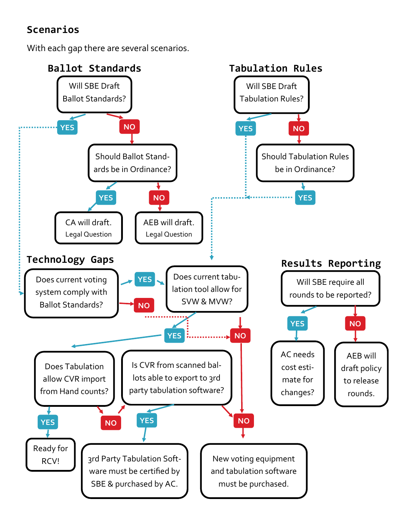# **Scenarios**

With each gap there are several scenarios.